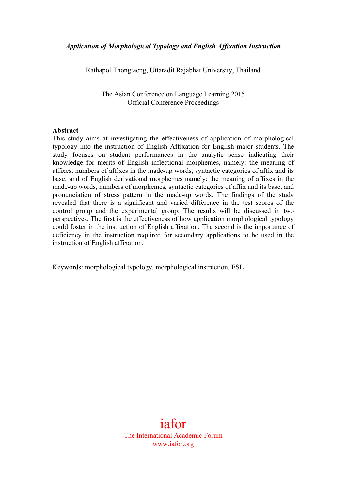Rathapol Thongtaeng, Uttaradit Rajabhat University, Thailand

The Asian Conference on Language Learning 2015 Official Conference Proceedings

#### **Abstract**

This study aims at investigating the effectiveness of application of morphological typology into the instruction of English Affixation for English major students. The study focuses on student performances in the analytic sense indicating their knowledge for merits of English inflectional morphemes, namely: the meaning of affixes, numbers of affixes in the made-up words, syntactic categories of affix and its base; and of English derivational morphemes namely; the meaning of affixes in the made-up words, numbers of morphemes, syntactic categories of affix and its base, and pronunciation of stress pattern in the made-up words. The findings of the study revealed that there is a significant and varied difference in the test scores of the control group and the experimental group. The results will be discussed in two perspectives. The first is the effectiveness of how application morphological typology could foster in the instruction of English affixation. The second is the importance of deficiency in the instruction required for secondary applications to be used in the instruction of English affixation.

Keywords: morphological typology, morphological instruction, ESL

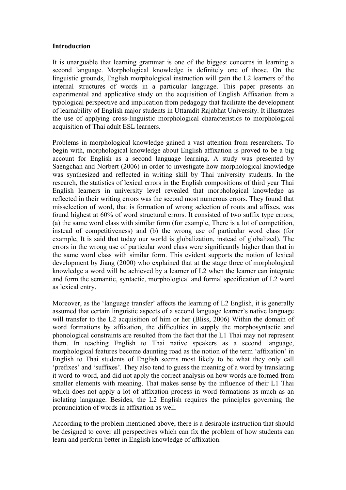#### **Introduction**

It is unarguable that learning grammar is one of the biggest concerns in learning a second language. Morphological knowledge is definitely one of those. On the linguistic grounds, English morphological instruction will gain the L2 learners of the internal structures of words in a particular language. This paper presents an experimental and applicative study on the acquisition of English Affixation from a typological perspective and implication from pedagogy that facilitate the development of learnability of English major students in Uttaradit Rajabhat University. It illustrates the use of applying cross-linguistic morphological characteristics to morphological acquisition of Thai adult ESL learners.

Problems in morphological knowledge gained a vast attention from researchers. To begin with, morphological knowledge about English affixation is proved to be a big account for English as a second language learning. A study was presented by Saengchan and Norbert (2006) in order to investigate how morphological knowledge was synthesized and reflected in writing skill by Thai university students. In the research, the statistics of lexical errors in the English compositions of third year Thai English learners in university level revealed that morphological knowledge as reflected in their writing errors was the second most numerous errors. They found that misselection of word, that is formation of wrong selection of roots and affixes, was found highest at 60% of word structural errors. It consisted of two suffix type errors; (a) the same word class with similar form (for example, There is a lot of competition, instead of competitiveness) and (b) the wrong use of particular word class (for example, It is said that today our world is globalization, instead of globalized). The errors in the wrong use of particular word class were significantly higher than that in the same word class with similar form. This evident supports the notion of lexical development by Jiang (2000) who explained that at the stage three of morphological knowledge a word will be achieved by a learner of L2 when the learner can integrate and form the semantic, syntactic, morphological and formal specification of L2 word as lexical entry.

Moreover, as the 'language transfer' affects the learning of L2 English, it is generally assumed that certain linguistic aspects of a second language learner's native language will transfer to the L2 acquisition of him or her (Bliss, 2006) Within the domain of word formations by affixation, the difficulties in supply the morphosyntactic and phonological constraints are resulted from the fact that the L1 Thai may not represent them. In teaching English to Thai native speakers as a second language, morphological features become daunting road as the notion of the term 'affixation' in English to Thai students of English seems most likely to be what they only call 'prefixes' and 'suffixes'. They also tend to guess the meaning of a word by translating it word-to-word, and did not apply the correct analysis on how words are formed from smaller elements with meaning. That makes sense by the influence of their L1 Thai which does not apply a lot of affixation process in word formations as much as an isolating language. Besides, the L2 English requires the principles governing the pronunciation of words in affixation as well.

According to the problem mentioned above, there is a desirable instruction that should be designed to cover all perspectives which can fix the problem of how students can learn and perform better in English knowledge of affixation.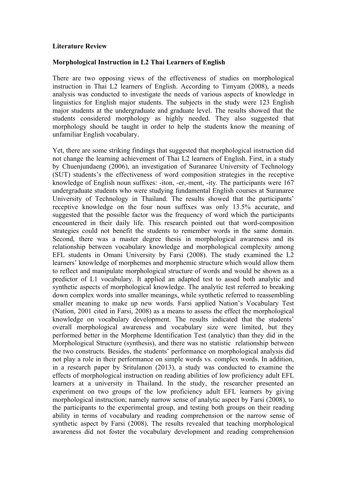#### **Literature Review**

#### **Morphological Instruction in L2 Thai Learners of English**

There are two opposing views of the effectiveness of studies on morphological instruction in Thai L2 learners of English. According to Timyam (2008), a needs analysis was conducted to investigate the needs of various aspects of knowledge in linguistics for English major students. The subjects in the study were 123 English major students at the undergraduate and graduate level. The results showed that the students considered morphology as highly needed. They also suggested that morphology should be taught in order to help the students know the meaning of unfamiliar English vocabulary.

Yet, there are some striking findings that suggested that morphological instruction did not change the learning achievement of Thai L2 learners of English. First, in a study by Chuenjundaeng (2006), an investigation of Suranaree University of Technology (SUT) students's the effectiveness of word composition strategies in the receptive knowledge of English noun suffixes: -iton, -er,-ment, -ity. The participants were 167 undergraduate students who were studying fundamental English courses at Suranaree University of Technology in Thailand. The results showed that the participants' receptive knowledge on the four noun suffixes was only 13.5% accurate, and suggested that the possible factor was the frequency of word which the participants encountered in their daily life. This research pointed out that word-composition strategies could not benefit the students to remember words in the same domain. Second, there was a master degree thesis in morphological awareness and its relationship between vocabulary knowledge and morphological complexity among EFL students in Omani University by Farsi (2008). The study examined the L2 learners' knowledge of morphemes and morphemic structure which would allow them to reflect and manipulate morphological structure of words and would be shown as a predictor of L1 vocabulary. It applied an adapted test to assed both analytic and synthetic aspects of morphological knowledge. The analytic test referred to breaking down complex words into smaller meanings, while synthetic referred to reassembling smaller meaning to make up new words. Farsi applied Nation's Vocabulary Test (Nation, 2001 cited in Farsi, 2008) as a means to assess the effect the morphological knowledge on vocabulary development. The results indicated that the students' overall morphological awareness and vocabulary size were limited, but they performed better in the Morpheme Identification Test (analytic) than they did in the Morphological Structure (synthesis), and there was no statistic relationship between the two constructs. Besides, the students' performance on morphological analysis did not play a role in their performance on simple words vs. complex words. In addition, in a research paper by Sritulanon (2013), a study was conducted to examine the effects of morphological instruction on reading abilities of low proficiency adult EFL learners at a university in Thailand. In the study, the researcher presented an experiment on two groups of the low proficiency adult EFL learners by giving morphological instruction; namely narrow sense of analytic aspect by Farsi (2008), to the participants to the experimental group, and testing both groups on their reading ability in terms of vocabulary and reading comprehension or the narrow sense of synthetic aspect by Farsi (2008). The results revealed that teaching morphological awareness did not foster the vocabulary development and reading comprehension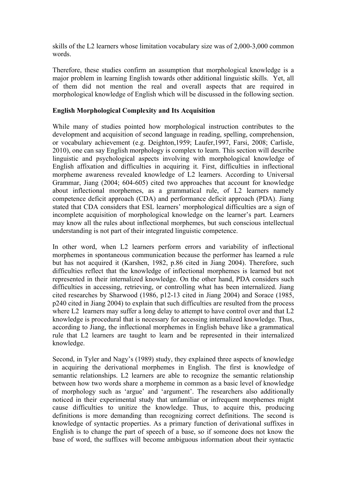skills of the L2 learners whose limitation vocabulary size was of 2,000-3,000 common words.

Therefore, these studies confirm an assumption that morphological knowledge is a major problem in learning English towards other additional linguistic skills. Yet, all of them did not mention the real and overall aspects that are required in morphological knowledge of English which will be discussed in the following section.

### **English Morphological Complexity and Its Acquisition**

While many of studies pointed how morphological instruction contributes to the development and acquisition of second language in reading, spelling, comprehension, or vocabulary achievement (e.g. Deighton,1959; Laufer,1997, Farsi, 2008; Carlisle, 2010), one can say English morphology is complex to learn. This section will describe linguistic and psychological aspects involving with morphological knowledge of English affixation and difficulties in acquiring it. First, difficulties in inflectional morpheme awareness revealed knowledge of L2 learners. According to Universal Grammar, Jiang (2004; 604-605) cited two approaches that account for knowledge about inflectional morphemes, as a grammatical rule, of L2 learners namely competence deficit approach (CDA) and performance deficit approach (PDA). Jiang stated that CDA considers that ESL learners' morphological difficulties are a sign of incomplete acquisition of morphological knowledge on the learner's part. Learners may know all the rules about inflectional morphemes, but such conscious intellectual understanding is not part of their integrated linguistic competence.

In other word, when L2 learners perform errors and variability of inflectional morphemes in spontaneous communication because the performer has learned a rule but has not acquired it (Karshen, 1982, p.86 cited in Jiang 2004). Therefore, such difficulties reflect that the knowledge of inflectional morphemes is learned but not represented in their internalized knowledge. On the other hand, PDA considers such difficulties in accessing, retrieving, or controlling what has been internalized. Jiang cited researches by Sharwood (1986, p12-13 cited in Jiang 2004) and Sorace (1985, p240 cited in Jiang 2004) to explain that such difficulties are resulted from the process where L2 learners may suffer a long delay to attempt to have control over and that L2 knowledge is procedural that is necessary for accessing internalized knowledge. Thus, according to Jiang, the inflectional morphemes in English behave like a grammatical rule that L2 learners are taught to learn and be represented in their internalized knowledge.

Second, in Tyler and Nagy's (1989) study, they explained three aspects of knowledge in acquiring the derivational morphemes in English. The first is knowledge of semantic relationships. L2 learners are able to recognize the semantic relationship between how two words share a morpheme in common as a basic level of knowledge of morphology such as 'argue' and 'argument'. The researchers also additionally noticed in their experimental study that unfamiliar or infrequent morphemes might cause difficulties to unitize the knowledge. Thus, to acquire this, producing definitions is more demanding than recognizing correct definitions. The second is knowledge of syntactic properties. As a primary function of derivational suffixes in English is to change the part of speech of a base, so if someone does not know the base of word, the suffixes will become ambiguous information about their syntactic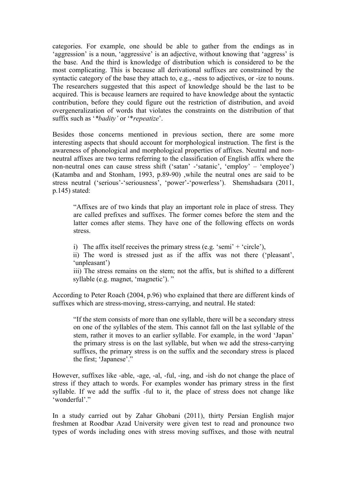categories. For example, one should be able to gather from the endings as in 'aggression' is a noun, 'aggressive' is an adjective, without knowing that 'aggress' is the base. And the third is knowledge of distribution which is considered to be the most complicating. This is because all derivational suffixes are constrained by the syntactic category of the base they attach to, e.g., -ness to adjectives, or -ize to nouns. The researchers suggested that this aspect of knowledge should be the last to be acquired. This is because learners are required to have knowledge about the syntactic contribution, before they could figure out the restriction of distribution, and avoid overgeneralization of words that violates the constraints on the distribution of that suffix such as '*\*badity'* or '\**repeatize*'.

Besides those concerns mentioned in previous section, there are some more interesting aspects that should account for morphological instruction. The first is the awareness of phonological and morphological properties of affixes. Neutral and nonneutral affixes are two terms referring to the classification of English affix where the non-neutral ones can cause stress shift ('satan' -'satanic', 'employ' – 'employee') (Katamba and and Stonham, 1993, p.89-90) ,while the neutral ones are said to be stress neutral ('serious'-'seriousness', 'power'-'powerless'). Shemshadsara (2011, p.145) stated:

"Affixes are of two kinds that play an important role in place of stress. They are called prefixes and suffixes. The former comes before the stem and the latter comes after stems. They have one of the following effects on words stress.

i) The affix itself receives the primary stress (e.g. 'semi' + 'circle'),

ii) The word is stressed just as if the affix was not there ('pleasant', 'unpleasant')

iii) The stress remains on the stem; not the affix, but is shifted to a different syllable (e.g. magnet, 'magnetic'). "

According to Peter Roach (2004, p.96) who explained that there are different kinds of suffixes which are stress-moving, stress-carrying, and neutral. He stated:

"If the stem consists of more than one syllable, there will be a secondary stress on one of the syllables of the stem. This cannot fall on the last syllable of the stem, rather it moves to an earlier syllable. For example, in the word 'Japan' the primary stress is on the last syllable, but when we add the stress-carrying suffixes, the primary stress is on the suffix and the secondary stress is placed the first; 'Japanese'."

However, suffixes like -able, -age, -al, -ful, -ing, and -ish do not change the place of stress if they attach to words. For examples wonder has primary stress in the first syllable. If we add the suffix -ful to it, the place of stress does not change like 'wonderful'"

In a study carried out by Zahar Ghobani (2011), thirty Persian English major freshmen at Roodbar Azad University were given test to read and pronounce two types of words including ones with stress moving suffixes, and those with neutral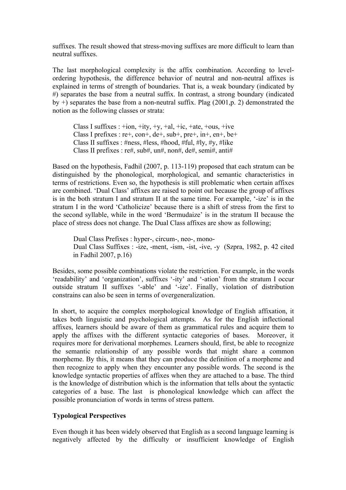suffixes. The result showed that stress-moving suffixes are more difficult to learn than neutral suffixes.

The last morphological complexity is the affix combination. According to levelordering hypothesis, the difference behavior of neutral and non-neutral affixes is explained in terms of strength of boundaries. That is, a weak boundary (indicated by #) separates the base from a neutral suffix. In contrast, a strong boundary (indicated by +) separates the base from a non-neutral suffix. Plag (2001,p. 2) demonstrated the notion as the following classes or strata:

Class I suffixes :  $+i$ on,  $+i$ ty,  $+y$ ,  $+$ al,  $+i$ c,  $+$ ate,  $+$ ous,  $+i$ ve Class I prefixes :  $re^{+}$ ,  $con^{+}$ ,  $de^{+}$ ,  $sub^{+}$ ,  $pre^{+}$ ,  $in^{+}$ ,  $en^{+}$ ,  $be^{+}$ Class II suffixes : #ness, #less, #hood, #ful, #ly, #y, #like Class II prefixes : re#, sub#, un#, non#, de#, semi#, anti#

Based on the hypothesis, Fadhil (2007, p. 113-119) proposed that each stratum can be distinguished by the phonological, morphological, and semantic characteristics in terms of restrictions. Even so, the hypothesis is still problematic when certain affixes are combined. 'Dual Class' affixes are raised to point out because the group of affixes is in the both stratum I and stratum II at the same time. For example, '-ize' is in the stratum I in the word 'Catholicize' because there is a shift of stress from the first to the second syllable, while in the word 'Bermudaize' is in the stratum II because the place of stress does not change. The Dual Class affixes are show as following;

Dual Class Prefixes : hyper-, circum-, neo-, mono-Dual Class Suffixes : -ize, -ment, -ism, -ist, -ive, -y (Szpra, 1982, p. 42 cited in Fadhil 2007, p.16)

Besides, some possible combinations violate the restriction. For example, in the words 'readability' and 'organization', suffixes '-ity' and '-ation' from the stratum I occur outside stratum II suffixes '-able' and '-ize'. Finally, violation of distribution constrains can also be seen in terms of overgeneralization.

In short, to acquire the complex morphological knowledge of English affixation, it takes both linguistic and psychological attempts. As for the English inflectional affixes, learners should be aware of them as grammatical rules and acquire them to apply the affixes with the different syntactic categories of bases. Moreover, it requires more for derivational morphemes. Learners should, first, be able to recognize the semantic relationship of any possible words that might share a common morpheme. By this, it means that they can produce the definition of a morpheme and then recognize to apply when they encounter any possible words. The second is the knowledge syntactic properties of affixes when they are attached to a base. The third is the knowledge of distribution which is the information that tells about the syntactic categories of a base. The last is phonological knowledge which can affect the possible pronunciation of words in terms of stress pattern.

## **Typological Perspectives**

Even though it has been widely observed that English as a second language learning is negatively affected by the difficulty or insufficient knowledge of English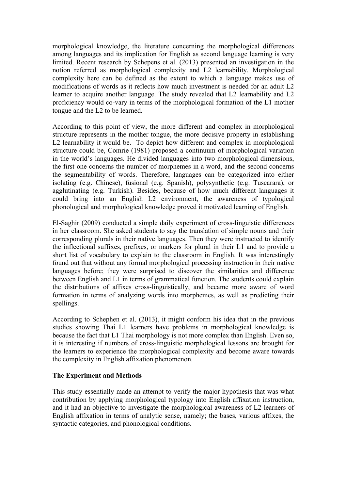morphological knowledge, the literature concerning the morphological differences among languages and its implication for English as second language learning is very limited. Recent research by Schepens et al. (2013) presented an investigation in the notion referred as morphological complexity and L2 learnability. Morphological complexity here can be defined as the extent to which a language makes use of modifications of words as it reflects how much investment is needed for an adult L2 learner to acquire another language. The study revealed that L2 learnability and L2 proficiency would co-vary in terms of the morphological formation of the L1 mother tongue and the L2 to be learned.

According to this point of view, the more different and complex in morphological structure represents in the mother tongue, the more decisive property in establishing L2 learnability it would be. To depict how different and complex in morphological structure could be, Comrie (1981) proposed a continuum of morphological variation in the world's languages. He divided languages into two morphological dimensions, the first one concerns the number of morphemes in a word, and the second concerns the segmentability of words. Therefore, languages can be categorized into either isolating (e.g. Chinese), fusional (e.g. Spanish), polysynthetic (e.g. Tuscarara), or agglutinating (e.g. Turkish). Besides, because of how much different languages it could bring into an English L2 environment, the awareness of typological phonological and morphological knowledge proved it motivated learning of English.

El-Saghir (2009) conducted a simple daily experiment of cross-linguistic differences in her classroom. She asked students to say the translation of simple nouns and their corresponding plurals in their native languages. Then they were instructed to identify the inflectional suffixes, prefixes, or markers for plural in their L1 and to provide a short list of vocabulary to explain to the classroom in English. It was interestingly found out that without any formal morphological processing instruction in their native languages before; they were surprised to discover the similarities and difference between English and L1 in terms of grammatical function. The students could explain the distributions of affixes cross-linguistically, and became more aware of word formation in terms of analyzing words into morphemes, as well as predicting their spellings.

According to Schephen et al. (2013), it might conform his idea that in the previous studies showing Thai L1 learners have problems in morphological knowledge is because the fact that L1 Thai morphology is not more complex than English. Even so, it is interesting if numbers of cross-linguistic morphological lessons are brought for the learners to experience the morphological complexity and become aware towards the complexity in English affixation phenomenon.

## **The Experiment and Methods**

This study essentially made an attempt to verify the major hypothesis that was what contribution by applying morphological typology into English affixation instruction, and it had an objective to investigate the morphological awareness of L2 learners of English affixation in terms of analytic sense, namely; the bases, various affixes, the syntactic categories, and phonological conditions.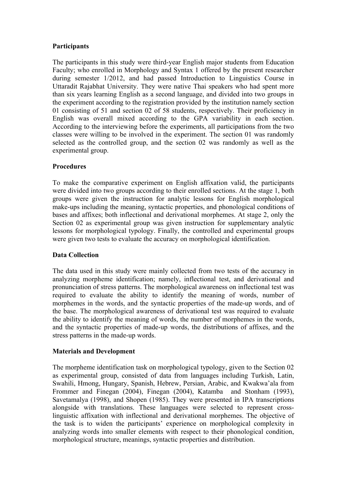## **Participants**

The participants in this study were third-year English major students from Education Faculty; who enrolled in Morphology and Syntax 1 offered by the present researcher during semester 1/2012, and had passed Introduction to Linguistics Course in Uttaradit Rajabhat University. They were native Thai speakers who had spent more than six years learning English as a second language, and divided into two groups in the experiment according to the registration provided by the institution namely section 01 consisting of 51 and section 02 of 58 students, respectively. Their proficiency in English was overall mixed according to the GPA variability in each section. According to the interviewing before the experiments, all participations from the two classes were willing to be involved in the experiment. The section 01 was randomly selected as the controlled group, and the section 02 was randomly as well as the experimental group.

## **Procedures**

To make the comparative experiment on English affixation valid, the participants were divided into two groups according to their enrolled sections. At the stage 1, both groups were given the instruction for analytic lessons for English morphological make-ups including the meaning, syntactic properties, and phonological conditions of bases and affixes; both inflectional and derivational morphemes. At stage 2, only the Section 02 as experimental group was given instruction for supplementary analytic lessons for morphological typology. Finally, the controlled and experimental groups were given two tests to evaluate the accuracy on morphological identification.

## **Data Collection**

The data used in this study were mainly collected from two tests of the accuracy in analyzing morpheme identification; namely, inflectional test, and derivational and pronunciation of stress patterns. The morphological awareness on inflectional test was required to evaluate the ability to identify the meaning of words, number of morphemes in the words, and the syntactic properties of the made-up words, and of the base. The morphological awareness of derivational test was required to evaluate the ability to identify the meaning of words, the number of morphemes in the words, and the syntactic properties of made-up words, the distributions of affixes, and the stress patterns in the made-up words.

#### **Materials and Development**

The morpheme identification task on morphological typology, given to the Section 02 as experimental group, consisted of data from languages including Turkish, Latin, Swahili, Hmong, Hungary, Spanish, Hebrew, Persian, Arabic, and Kwakwa'ala from Frommer and Finegan (2004), Finegan (2004), Katamba and Stonham (1993), Savetamalya (1998), and Shopen (1985). They were presented in IPA transcriptions alongside with translations. These languages were selected to represent crosslinguistic affixation with inflectional and derivational morphemes. The objective of the task is to widen the participants' experience on morphological complexity in analyzing words into smaller elements with respect to their phonological condition, morphological structure, meanings, syntactic properties and distribution.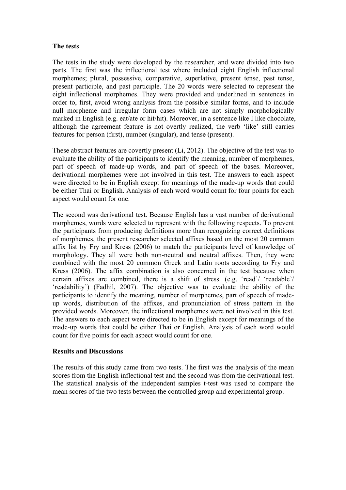#### **The tests**

The tests in the study were developed by the researcher, and were divided into two parts. The first was the inflectional test where included eight English inflectional morphemes; plural, possessive, comparative, superlative, present tense, past tense, present participle, and past participle. The 20 words were selected to represent the eight inflectional morphemes. They were provided and underlined in sentences in order to, first, avoid wrong analysis from the possible similar forms, and to include null morpheme and irregular form cases which are not simply morphologically marked in English (e.g. eat/ate or hit/hit). Moreover, in a sentence like I like chocolate, although the agreement feature is not overtly realized, the verb 'like' still carries features for person (first), number (singular), and tense (present).

These abstract features are covertly present (Li, 2012). The objective of the test was to evaluate the ability of the participants to identify the meaning, number of morphemes, part of speech of made-up words, and part of speech of the bases. Moreover, derivational morphemes were not involved in this test. The answers to each aspect were directed to be in English except for meanings of the made-up words that could be either Thai or English. Analysis of each word would count for four points for each aspect would count for one.

The second was derivational test. Because English has a vast number of derivational morphemes, words were selected to represent with the following respects. To prevent the participants from producing definitions more than recognizing correct definitions of morphemes, the present researcher selected affixes based on the most 20 common affix list by Fry and Kress (2006) to match the participants level of knowledge of morphology. They all were both non-neutral and neutral affixes. Then, they were combined with the most 20 common Greek and Latin roots according to Fry and Kress (2006). The affix combination is also concerned in the test because when certain affixes are combined, there is a shift of stress. (e.g. 'read'/ 'readable'/ 'readability') (Fadhil, 2007). The objective was to evaluate the ability of the participants to identify the meaning, number of morphemes, part of speech of madeup words, distribution of the affixes, and pronunciation of stress pattern in the provided words. Moreover, the inflectional morphemes were not involved in this test. The answers to each aspect were directed to be in English except for meanings of the made-up words that could be either Thai or English. Analysis of each word would count for five points for each aspect would count for one.

#### **Results and Discussions**

The results of this study came from two tests. The first was the analysis of the mean scores from the English inflectional test and the second was from the derivational test. The statistical analysis of the independent samples t-test was used to compare the mean scores of the two tests between the controlled group and experimental group.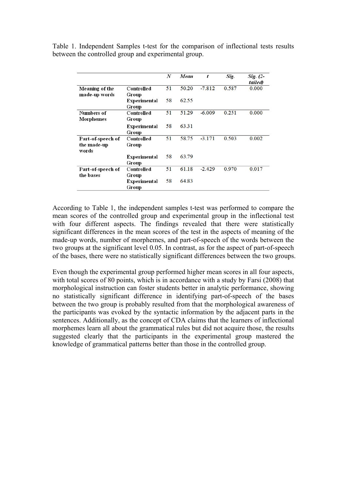Table 1. Independent Samples t-test for the comparison of inflectional tests results between the controlled group and experimental group.

|                   |              | N  | Mean  | t        | Sig.  | Sig. (2- |
|-------------------|--------------|----|-------|----------|-------|----------|
|                   |              |    |       |          |       | tailed)  |
| Meaning of the    | Controlled   | 51 | 50.20 | $-7.812$ | 0.587 | 0.000    |
| made-up words     | Group        |    |       |          |       |          |
|                   | Experimental | 58 | 62.55 |          |       |          |
|                   | Group        |    |       |          |       |          |
| Numbers of        | Controlled   | 51 | 51.29 | $-6.009$ | 0.251 | 0.000    |
| Morphemes         | Group        |    |       |          |       |          |
|                   | Experimental | 58 | 63.31 |          |       |          |
|                   | Group        |    |       |          |       |          |
| Part-of-speech of | Controlled   | 51 | 58.75 | $-3.171$ | 0.503 | 0.002    |
| the made-up       | Group        |    |       |          |       |          |
| words             |              |    |       |          |       |          |
|                   | Experimental | 58 | 63.79 |          |       |          |
|                   | Group        |    |       |          |       |          |
| Part-of-speech of | Controlled   | 51 | 61.18 | $-2.429$ | 0.970 | 0.017    |
| the bases         | Group        |    |       |          |       |          |
|                   | Experimental | 58 | 64.83 |          |       |          |
|                   | Group        |    |       |          |       |          |

According to Table 1, the independent samples t-test was performed to compare the mean scores of the controlled group and experimental group in the inflectional test with four different aspects. The findings revealed that there were statistically significant differences in the mean scores of the test in the aspects of meaning of the made-up words, number of morphemes, and part-of-speech of the words between the two groups at the significant level 0.05. In contrast, as for the aspect of part-of-speech of the bases, there were no statistically significant differences between the two groups.

Even though the experimental group performed higher mean scores in all four aspects, with total scores of 80 points, which is in accordance with a study by Farsi (2008) that morphological instruction can foster students better in analytic performance, showing no statistically significant difference in identifying part-of-speech of the bases between the two group is probably resulted from that the morphological awareness of the participants was evoked by the syntactic information by the adjacent parts in the sentences. Additionally, as the concept of CDA claims that the learners of inflectional morphemes learn all about the grammatical rules but did not acquire those, the results suggested clearly that the participants in the experimental group mastered the knowledge of grammatical patterns better than those in the controlled group.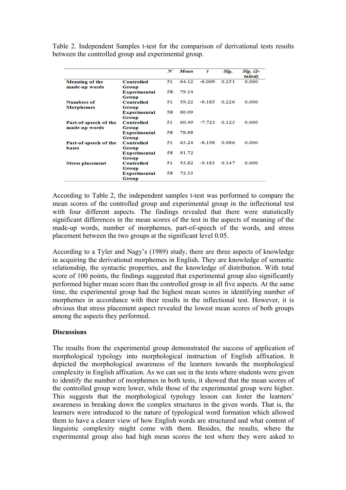Table 2. Independent Samples t-test for the comparison of derivational tests results between the controlled group and experimental group.

|                         |                     | N  | Mean  | t        | Sig.  | Sig. (2- |
|-------------------------|---------------------|----|-------|----------|-------|----------|
|                         |                     |    |       |          |       | tailed)  |
| <b>Meaning of the</b>   | <b>Controlled</b>   | 51 | 64.12 | $-6.009$ | 0.251 | 0.000    |
| made-up words           | Group               |    |       |          |       |          |
|                         | <b>Experimental</b> | 58 | 79.14 |          |       |          |
|                         | Group               |    |       |          |       |          |
| <b>Numbers of</b>       | <b>Controlled</b>   | 51 | 59.22 | $-9.185$ | 0.226 | 0.000    |
| <b>Morphemes</b>        | Group               |    |       |          |       |          |
|                         | Experimental        | 58 | 80.09 |          |       |          |
|                         | Group               |    |       |          |       |          |
| Part-of-speech of the   | <b>Controlled</b>   | 51 | 60.49 | $-7.723$ | 0.123 | 0.000    |
| made-up words           | Group               |    |       |          |       |          |
|                         | Experimental        | 58 | 78.88 |          |       |          |
|                         | Group               |    |       |          |       |          |
| Part-of-speech of the   | <b>Controlled</b>   | 51 | 63.24 | $-8.198$ | 0.086 | 0.000    |
| bases                   | Group               |    |       |          |       |          |
|                         | <b>Experimental</b> | 58 | 81.72 |          |       |          |
|                         | <b>Group</b>        |    |       |          |       |          |
| <b>Stress placement</b> | <b>Controlled</b>   | 51 | 53.82 | $-9.183$ | 0.147 | 0.000    |
|                         | Group               |    |       |          |       |          |
|                         | Experimental        | 58 | 72.33 |          |       |          |
|                         | Group               |    |       |          |       |          |

According to Table 2, the independent samples t-test was performed to compare the mean scores of the controlled group and experimental group in the inflectional test with four different aspects. The findings revealed that there were statistically significant differences in the mean scores of the test in the aspects of meaning of the made-up words, number of morphemes, part-of-speech of the words, and stress placement between the two groups at the significant level 0.05.

According to a Tyler and Nagy's (1989) study, there are three aspects of knowledge in acquiring the derivational morphemes in English. They are knowledge of semantic relationship, the syntactic properties, and the knowledge of distribution. With total score of 100 points, the findings suggested that experimental group also significantly performed higher mean score than the controlled group in all five aspects. At the same time, the experimental group had the highest mean scores in identifying number of morphemes in accordance with their results in the inflectional test. However, it is obvious that stress placement aspect revealed the lowest mean scores of both groups among the aspects they performed.

#### **Discussions**

The results from the experimental group demonstrated the success of application of morphological typology into morphological instruction of English affixation. It depicted the morphological awareness of the learners towards the morphological complexity in English affixation. As we can see in the tests where students were given to identify the number of morphemes in both tests, it showed that the mean scores of the controlled group were lower, while those of the experimental group were higher. This suggests that the morphological typology lesson can foster the learners' awareness in breaking down the complex structures in the given words. That is, the learners were introduced to the nature of typological word formation which allowed them to have a clearer view of how English words are structured and what content of linguistic complexity might come with them. Besides, the results, where the experimental group also had high mean scores the test where they were asked to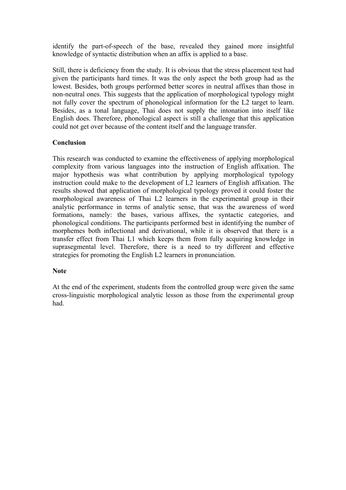identify the part-of-speech of the base, revealed they gained more insightful knowledge of syntactic distribution when an affix is applied to a base.

Still, there is deficiency from the study. It is obvious that the stress placement test had given the participants hard times. It was the only aspect the both group had as the lowest. Besides, both groups performed better scores in neutral affixes than those in non-neutral ones. This suggests that the application of morphological typology might not fully cover the spectrum of phonological information for the L2 target to learn. Besides, as a tonal language, Thai does not supply the intonation into itself like English does. Therefore, phonological aspect is still a challenge that this application could not get over because of the content itself and the language transfer.

## **Conclusion**

This research was conducted to examine the effectiveness of applying morphological complexity from various languages into the instruction of English affixation. The major hypothesis was what contribution by applying morphological typology instruction could make to the development of L2 learners of English affixation. The results showed that application of morphological typology proved it could foster the morphological awareness of Thai L2 learners in the experimental group in their analytic performance in terms of analytic sense, that was the awareness of word formations, namely: the bases, various affixes, the syntactic categories, and phonological conditions. The participants performed best in identifying the number of morphemes both inflectional and derivational, while it is observed that there is a transfer effect from Thai L1 which keeps them from fully acquiring knowledge in suprasegmental level. Therefore, there is a need to try different and effective strategies for promoting the English L2 learners in pronunciation.

#### **Note**

At the end of the experiment, students from the controlled group were given the same cross-linguistic morphological analytic lesson as those from the experimental group had.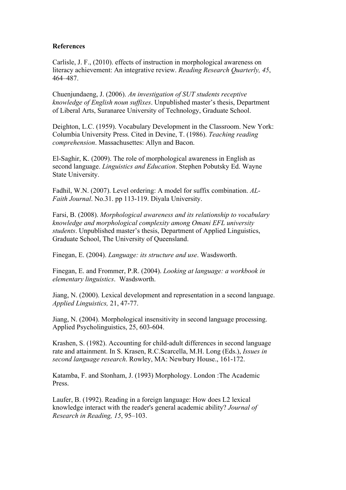#### **References**

Carlisle, J. F., (2010). effects of instruction in morphological awareness on literacy achievement: An integrative review. *Reading Research Quarterly, 45*, 464–487.

Chuenjundaeng, J. (2006). *An investigation of SUT students receptive knowledge of English noun suffixes*. Unpublished master's thesis, Department of Liberal Arts, Suranaree University of Technology, Graduate School.

Deighton, L.C. (1959). Vocabulary Development in the Classroom. New York: Columbia University Press. Cited in Devine, T. (1986). *Teaching reading comprehension*. Massachusettes: Allyn and Bacon.

El-Saghir, K. (2009). The role of morphological awareness in English as second language. *Linguistics and Education*. Stephen Pobutsky Ed. Wayne State University.

Fadhil, W.N. (2007). Level ordering: A model for suffix combination. *AL-Faith Journal*. No.31. pp 113-119. Diyala University.

Farsi, B. (2008). *Morphological awareness and its relationship to vocabulary knowledge and morphological complexity among Omani EFL university students*. Unpublished master's thesis, Department of Applied Linguistics, Graduate School, The University of Queensland.

Finegan, E. (2004). *Language: its structure and use*. Wasdsworth.

Finegan, E. and Frommer, P.R. (2004). *Looking at language: a workbook in elementary linguistics*. Wasdsworth.

Jiang, N. (2000). Lexical development and representation in a second language. *Applied Linguistics,* 21, 47-77.

Jiang, N. (2004). Morphological insensitivity in second language processing. Applied Psycholinguistics, 25, 603-604.

Krashen, S. (1982). Accounting for child-adult differences in second language rate and attainment. In S. Krasen, R.C.Scarcella, M.H. Long (Eds.), *Issues in second language research*. Rowley, MA: Newbury House., 161-172.

Katamba, F. and Stonham, J. (1993) Morphology. London :The Academic Press.

Laufer, B. (1992). Reading in a foreign language: How does L2 lexical knowledge interact with the reader's general academic ability? *Journal of Research in Reading, 15*, 95–103.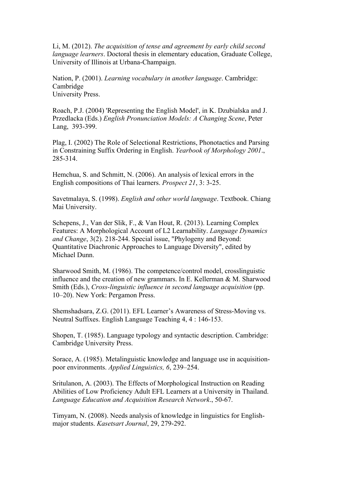Li, M. (2012). *The acquisition of tense and agreement by early child second language learners*. Doctoral thesis in elementary education, Graduate College, University of Illinois at Urbana-Champaign.

Nation, P. (2001). *Learning vocabulary in another language*. Cambridge: Cambridge University Press.

Roach, P.J. (2004) 'Representing the English Model', in K. Dzubialska and J. Przedlacka (Eds.) *English Pronunciation Models: A Changing Scene*, Peter Lang, 393-399.

Plag, I. (2002) The Role of Selectional Restrictions, Phonotactics and Parsing in Constraining Suffix Ordering in English. *Yearbook of Morphology 2001*., 285-314.

Hemchua, S. and Schmitt, N. (2006). An analysis of lexical errors in the English compositions of Thai learners. *Prospect 21*, 3: 3-25.

Savetmalaya, S. (1998). *English and other world language*. Textbook. Chiang Mai University.

Schepens, J., Van der Slik, F., & Van Hout, R. (2013). Learning Complex Features: A Morphological Account of L2 Learnability. *Language Dynamics and Change*, 3(2). 218-244. Special issue, "Phylogeny and Beyond: Quantitative Diachronic Approaches to Language Diversity", edited by Michael Dunn.

Sharwood Smith, M. (1986). The competence/control model, crosslinguistic influence and the creation of new grammars. In E. Kellerman & M. Sharwood Smith (Eds.), *Cross-linguistic influence in second language acquisition* (pp. 10–20). New York: Pergamon Press.

Shemshadsara, Z.G. (2011). EFL Learner's Awareness of Stress-Moving vs. Neutral Suffixes. English Language Teaching 4, 4 : 146-153.

Shopen, T. (1985). Language typology and syntactic description. Cambridge: Cambridge University Press.

Sorace, A. (1985). Metalinguistic knowledge and language use in acquisitionpoor environments. *Applied Linguistics, 6*, 239–254.

Sritulanon, A. (2003). The Effects of Morphological Instruction on Reading Abilities of Low Proficiency Adult EFL Learners at a University in Thailand. *Language Education and Acquisition Research Network*., 50-67.

Timyam, N. (2008). Needs analysis of knowledge in linguistics for Englishmajor students. *Kasetsart Journal*, 29, 279-292.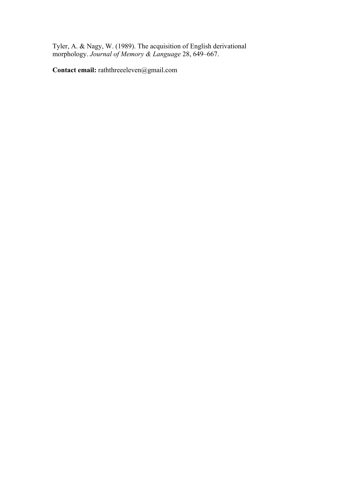Tyler, A. & Nagy, W. (1989). The acquisition of English derivational morphology. *Journal of Memory & Language* 28, 649–667.

**Contact email:** raththreeeleven@gmail.com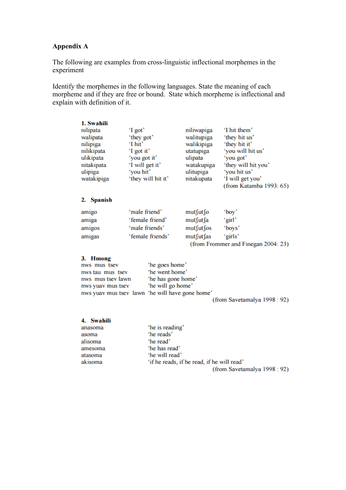# **Appendix A**

The following are examples from cross-linguistic inflectional morphemes in the experiment

Identify the morphemes in the following languages. State the meaning of each morpheme and if they are free or bound. State which morpheme is inflectional and explain with definition of it.

| 1. Swahili<br>nilipata<br>walipata<br>nilipiga<br>nilikipata<br>ulikipata<br>nitakipata<br>ulipiga<br>watakipiga                                                                          | 'I got'<br>'they got'<br>'I hit'<br>'I got it'<br>'you got it'<br>'I will get it'<br>'you hit'<br>'they will hit it' | niliwapiga<br>walitupiga<br>walikipiga<br>utatupiga<br>ulipata<br>watakupiga<br>ulitupiga<br>nitakupata | 'I hit them'<br>'they hit us'<br>'they hit it'<br>'you will hit us'<br>'you got'<br>'they will hit you'<br>'you hit us'<br>'I will get you'<br>(from Katamba 1993: 65) |
|-------------------------------------------------------------------------------------------------------------------------------------------------------------------------------------------|----------------------------------------------------------------------------------------------------------------------|---------------------------------------------------------------------------------------------------------|------------------------------------------------------------------------------------------------------------------------------------------------------------------------|
| 2. Spanish                                                                                                                                                                                |                                                                                                                      |                                                                                                         |                                                                                                                                                                        |
| amigo<br>amiga<br>amigos<br>amigas<br><b>Hmong</b><br>3.<br>nws mus tsev<br>nws tau mus tsev<br>nws mus tsev lawn<br>nws yuav mus tsev<br>nws yuav mus tsev lawn 'he will have gone home' | 'male friend'<br>'female friend'<br>'male friends'<br>'female friends'<br>'he goes home'<br>'he went home'           | mut∫ut∫o<br>mut∫ut∫a<br>mut∫ut∫os<br>mut∫ut∫as<br>'he has gone home'<br>'he will go home'               | "boy"<br>'girl'<br>'boys'<br>'girls'<br>(from Frommer and Finegan 2004: 23)<br>(from Savetamalya 1998 : 92)                                                            |
| 4. Swahili<br>anasoma<br>asoma<br>alisoma<br>amesoma<br>atasoma<br>akisoma                                                                                                                | 'he is reading'<br>'he reads'<br>'he read'<br>'he has read'<br>'he will read'                                        | 'if he reads, if he read, if he will read'                                                              | (from Savetamalya 1998 : 92)                                                                                                                                           |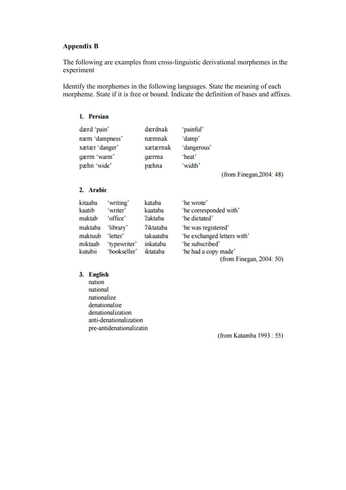#### **Appendix B**

The following are examples from cross-linguistic derivational morphemes in the experiment

Identify the morphemes in the following languages. State the meaning of each morpheme. State if it is free or bound. Indicate the definition of bases and affixes.

| 1. Persian                                                                    |                       |                                                 |                                                         |                          |
|-------------------------------------------------------------------------------|-----------------------|-------------------------------------------------|---------------------------------------------------------|--------------------------|
| dærd 'pain'<br>næm 'dampness'<br>xætær 'danger'<br>gærm 'warm'<br>pæhn 'wide' |                       | dærdnak<br>næmnak<br>xætærnak<br>gærma<br>pæhna | 'painful'<br>'damp'<br>'dangerous'<br>'heat'<br>'width' |                          |
|                                                                               |                       |                                                 |                                                         | (from Finegan, 2004: 48) |
| 2. Arabic                                                                     |                       |                                                 |                                                         |                          |
| kitaaba<br>$1 - 1$                                                            | 'writing'<br>$5 - 11$ | kataba<br>$1 - 1 - 1 - 1 - 1$                   | 'he wrote'<br>الملتان والمسترات والمستحدث والمنافذ      |                          |

| kitaaba | 'writing'    | kataba           | 'he wrote'                  |
|---------|--------------|------------------|-----------------------------|
| kaatib  | 'writer'     | kaataba          | 'he corresponded with'      |
| maktab  | 'office'     | <b>?aktaba</b>   | 'he dictated'               |
| maktaba | 'library'    | <b>?iktataba</b> | 'he was registered'         |
| maktuub | 'letter'     | takaataba        | 'he exchanged letters with' |
| miktaab | 'typewriter' | inkataba         | 'he subscribed'             |
| kutubii | 'bookseller' | iktataba         | 'he had a copy made'        |
|         |              |                  | (from Finegan, 2004: 50)    |

#### 3. English

nation national nationalize denationalize denationalization anti-denationalization pre-antidenationalizatin

(from Katamba 1993 : 55)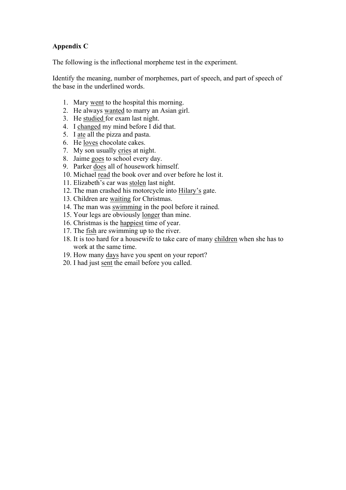## **Appendix C**

The following is the inflectional morpheme test in the experiment.

Identify the meaning, number of morphemes, part of speech, and part of speech of the base in the underlined words.

- 1. Mary went to the hospital this morning.
- 2. He always wanted to marry an Asian girl.
- 3. He studied for exam last night.
- 4. I changed my mind before I did that.
- 5. I ate all the pizza and pasta.
- 6. He loves chocolate cakes.
- 7. My son usually cries at night.
- 8. Jaime goes to school every day.
- 9. Parker does all of housework himself.
- 10. Michael read the book over and over before he lost it.
- 11. Elizabeth's car was stolen last night.
- 12. The man crashed his motorcycle into Hilary's gate.
- 13. Children are waiting for Christmas.
- 14. The man was swimming in the pool before it rained.
- 15. Your legs are obviously longer than mine.
- 16. Christmas is the happiest time of year.
- 17. The fish are swimming up to the river.
- 18. It is too hard for a housewife to take care of many children when she has to work at the same time.
- 19. How many days have you spent on your report?
- 20. I had just sent the email before you called.